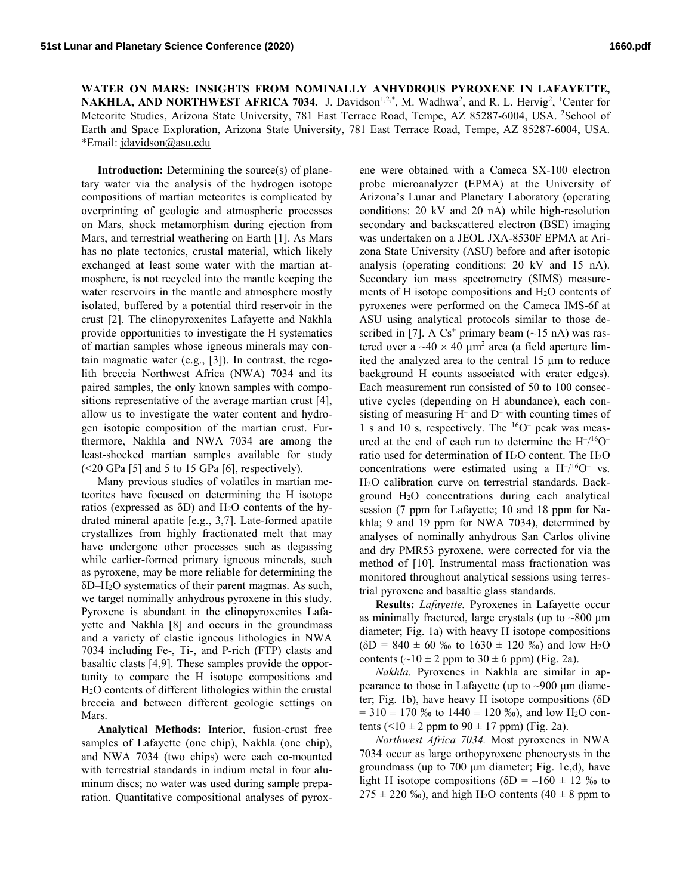**WATER ON MARS: INSIGHTS FROM NOMINALLY ANHYDROUS PYROXENE IN LAFAYETTE, NAKHLA, AND NORTHWEST AFRICA 7034.** J. Davidson<sup>1,2,\*</sup>, M. Wadhwa<sup>2</sup>, and R. L. Hervig<sup>2</sup>, <sup>1</sup>Center for Meteorite Studies, Arizona State University, 781 East Terrace Road, Tempe, AZ 85287-6004, USA. <sup>2</sup>School of Earth and Space Exploration, Arizona State University, 781 East Terrace Road, Tempe, AZ 85287-6004, USA. \*Email: jdavidson@asu.edu

**Introduction:** Determining the source(s) of planetary water via the analysis of the hydrogen isotope compositions of martian meteorites is complicated by overprinting of geologic and atmospheric processes on Mars, shock metamorphism during ejection from Mars, and terrestrial weathering on Earth [1]. As Mars has no plate tectonics, crustal material, which likely exchanged at least some water with the martian atmosphere, is not recycled into the mantle keeping the water reservoirs in the mantle and atmosphere mostly isolated, buffered by a potential third reservoir in the crust [2]. The clinopyroxenites Lafayette and Nakhla provide opportunities to investigate the H systematics of martian samples whose igneous minerals may contain magmatic water (e.g., [3]). In contrast, the regolith breccia Northwest Africa (NWA) 7034 and its paired samples, the only known samples with compositions representative of the average martian crust [4], allow us to investigate the water content and hydrogen isotopic composition of the martian crust. Furthermore, Nakhla and NWA 7034 are among the least-shocked martian samples available for study  $\left($  <20 GPa [5] and 5 to 15 GPa [6], respectively).

Many previous studies of volatiles in martian meteorites have focused on determining the H isotope ratios (expressed as δD) and H2O contents of the hydrated mineral apatite [e.g., 3,7]. Late-formed apatite crystallizes from highly fractionated melt that may have undergone other processes such as degassing while earlier-formed primary igneous minerals, such as pyroxene, may be more reliable for determining the δD–H2O systematics of their parent magmas. As such, we target nominally anhydrous pyroxene in this study. Pyroxene is abundant in the clinopyroxenites Lafayette and Nakhla [8] and occurs in the groundmass and a variety of clastic igneous lithologies in NWA 7034 including Fe-, Ti-, and P-rich (FTP) clasts and basaltic clasts [4,9]. These samples provide the opportunity to compare the H isotope compositions and H2O contents of different lithologies within the crustal breccia and between different geologic settings on Mars.

**Analytical Methods:** Interior, fusion-crust free samples of Lafayette (one chip), Nakhla (one chip), and NWA 7034 (two chips) were each co-mounted with terrestrial standards in indium metal in four aluminum discs; no water was used during sample preparation. Quantitative compositional analyses of pyroxene were obtained with a Cameca SX-100 electron probe microanalyzer (EPMA) at the University of Arizona's Lunar and Planetary Laboratory (operating conditions: 20 kV and 20 nA) while high-resolution secondary and backscattered electron (BSE) imaging was undertaken on a JEOL JXA-8530F EPMA at Arizona State University (ASU) before and after isotopic analysis (operating conditions: 20 kV and 15 nA). Secondary ion mass spectrometry (SIMS) measurements of H isotope compositions and  $H_2O$  contents of pyroxenes were performed on the Cameca IMS-6f at ASU using analytical protocols similar to those described in [7]. A  $Cs^+$  primary beam (~15 nA) was rastered over a  $\sim$ 40  $\times$  40  $\mu$ m<sup>2</sup> area (a field aperture limited the analyzed area to the central 15 µm to reduce background H counts associated with crater edges). Each measurement run consisted of 50 to 100 consecutive cycles (depending on H abundance), each consisting of measuring  $H^-$  and  $D^-$  with counting times of 1 s and 10 s, respectively. The  $16O^-$  peak was measured at the end of each run to determine the  $H<sup>-16</sup>O$ ratio used for determination of H2O content. The H2O concentrations were estimated using a  $H^{-/16}O^-$  vs. H2O calibration curve on terrestrial standards. Background H2O concentrations during each analytical session (7 ppm for Lafayette; 10 and 18 ppm for Nakhla; 9 and 19 ppm for NWA 7034), determined by analyses of nominally anhydrous San Carlos olivine and dry PMR53 pyroxene, were corrected for via the method of [10]. Instrumental mass fractionation was monitored throughout analytical sessions using terrestrial pyroxene and basaltic glass standards.

**Results:** *Lafayette.* Pyroxenes in Lafayette occur as minimally fractured, large crystals (up to  $\sim800 \text{ }\mu\text{m}$ ) diameter; Fig. 1a) with heavy H isotope compositions  $(\delta D = 840 \pm 60 \text{ % to } 1630 \pm 120 \text{ %})$  and low H<sub>2</sub>O contents ( $\sim$ 10 ± 2 ppm to 30 ± 6 ppm) (Fig. 2a).

*Nakhla.* Pyroxenes in Nakhla are similar in appearance to those in Lafayette (up to  $\sim$ 900 µm diameter; Fig. 1b), have heavy H isotope compositions (δD  $= 310 \pm 170$  ‰ to  $1440 \pm 120$  ‰), and low H<sub>2</sub>O contents (<10  $\pm$  2 ppm to 90  $\pm$  17 ppm) (Fig. 2a).

*Northwest Africa 7034.* Most pyroxenes in NWA 7034 occur as large orthopyroxene phenocrysts in the groundmass (up to 700 µm diameter; Fig. 1c,d), have light H isotope compositions ( $\delta D = -160 \pm 12$  ‰ to  $275 \pm 220$  ‰), and high H<sub>2</sub>O contents (40  $\pm$  8 ppm to